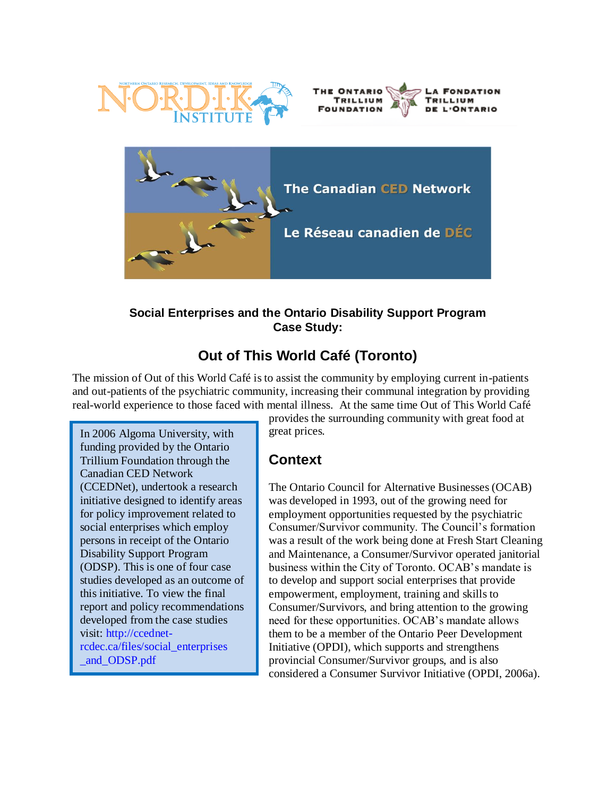





#### **Social Enterprises and the Ontario Disability Support Program Case Study:**

# **Out of This World Café (Toronto)**

The mission of Out of this World Café is to assist the community by employing current in-patients and out-patients of the psychiatric community, increasing their communal integration by providing real-world experience to those faced with mental illness. At the same time Out of This World Café

In 2006 Algoma University, with funding provided by the Ontario Trillium Foundation through the Canadian CED Network (CCEDNet), undertook a research initiative designed to identify areas for policy improvement related to social enterprises which employ persons in receipt of the Ontario Disability Support Program (ODSP). This is one of four case studies developed as an outcome of this initiative. To view the final report and policy recommendations developed from the case studies visit: [http://ccednet](http://ccednet-rcdec.ca/files/social_enterprises%0b_and_ODSP.pdf)[rcdec.ca/files/social\\_enterprises](http://ccednet-rcdec.ca/files/social_enterprises%0b_and_ODSP.pdf) [\\_and\\_ODSP.pdf](http://ccednet-rcdec.ca/files/social_enterprises%0b_and_ODSP.pdf)

provides the surrounding community with great food at great prices.

## **Context**

The Ontario Council for Alternative Businesses (OCAB) was developed in 1993, out of the growing need for employment opportunities requested by the psychiatric Consumer/Survivor community. The Council"s formation was a result of the work being done at Fresh Start Cleaning and Maintenance, a Consumer/Survivor operated janitorial business within the City of Toronto. OCAB"s mandate is to develop and support social enterprises that provide empowerment, employment, training and skills to Consumer/Survivors, and bring attention to the growing need for these opportunities. OCAB"s mandate allows them to be a member of the Ontario Peer Development Initiative (OPDI), which supports and strengthens provincial Consumer/Survivor groups, and is also considered a Consumer Survivor Initiative (OPDI, 2006a).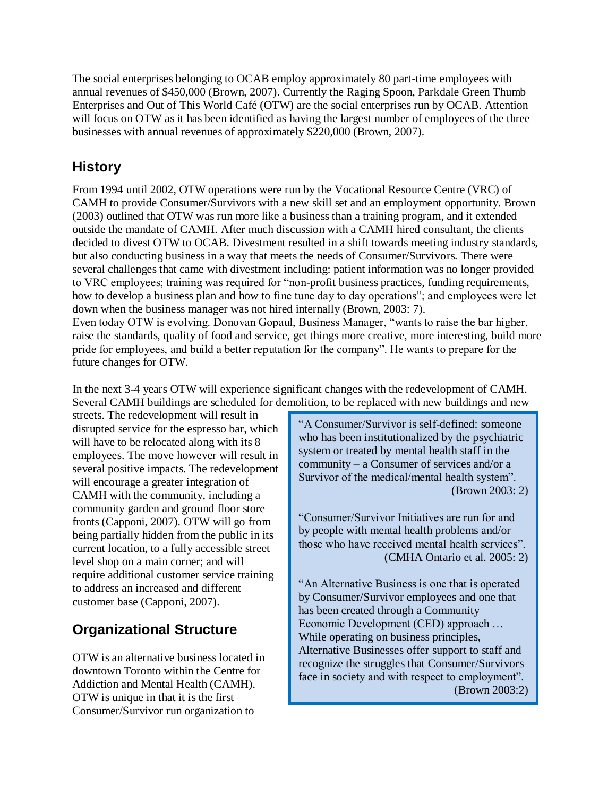The social enterprises belonging to OCAB employ approximately 80 part-time employees with annual revenues of \$450,000 (Brown, 2007). Currently the Raging Spoon, Parkdale Green Thumb Enterprises and Out of This World Café (OTW) are the social enterprises run by OCAB. Attention will focus on OTW as it has been identified as having the largest number of employees of the three businesses with annual revenues of approximately \$220,000 (Brown, 2007).

## **History**

From 1994 until 2002, OTW operations were run by the Vocational Resource Centre (VRC) of CAMH to provide Consumer/Survivors with a new skill set and an employment opportunity. Brown (2003) outlined that OTW was run more like a business than a training program, and it extended outside the mandate of CAMH. After much discussion with a CAMH hired consultant, the clients decided to divest OTW to OCAB. Divestment resulted in a shift towards meeting industry standards, but also conducting business in a way that meets the needs of Consumer/Survivors. There were several challenges that came with divestment including: patient information was no longer provided to VRC employees; training was required for "non-profit business practices, funding requirements, how to develop a business plan and how to fine tune day to day operations"; and employees were let down when the business manager was not hired internally (Brown, 2003: 7). Even today OTW is evolving. Donovan Gopaul, Business Manager, "wants to raise the bar higher, raise the standards, quality of food and service, get things more creative, more interesting, build more pride for employees, and build a better reputation for the company". He wants to prepare for the future changes for OTW.

In the next 3-4 years OTW will experience significant changes with the redevelopment of CAMH. Several CAMH buildings are scheduled for demolition, to be replaced with new buildings and new

streets. The redevelopment will result in disrupted service for the espresso bar, which will have to be relocated along with its 8 employees. The move however will result in several positive impacts. The redevelopment will encourage a greater integration of CAMH with the community, including a community garden and ground floor store fronts (Capponi, 2007). OTW will go from being partially hidden from the public in its current location, to a fully accessible street level shop on a main corner; and will require additional customer service training to address an increased and different customer base (Capponi, 2007).

# **Organizational Structure**

OTW is an alternative business located in downtown Toronto within the Centre for Addiction and Mental Health (CAMH). OTW is unique in that it is the first Consumer/Survivor run organization to

"A Consumer/Survivor is self-defined: someone who has been institutionalized by the psychiatric system or treated by mental health staff in the community – a Consumer of services and/or a Survivor of the medical/mental health system". (Brown 2003: 2)

"Consumer/Survivor Initiatives are run for and by people with mental health problems and/or those who have received mental health services". (CMHA Ontario et al. 2005: 2)

"An Alternative Business is one that is operated by Consumer/Survivor employees and one that has been created through a Community Economic Development (CED) approach … While operating on business principles, Alternative Businesses offer support to staff and recognize the struggles that Consumer/Survivors face in society and with respect to employment". (Brown 2003:2)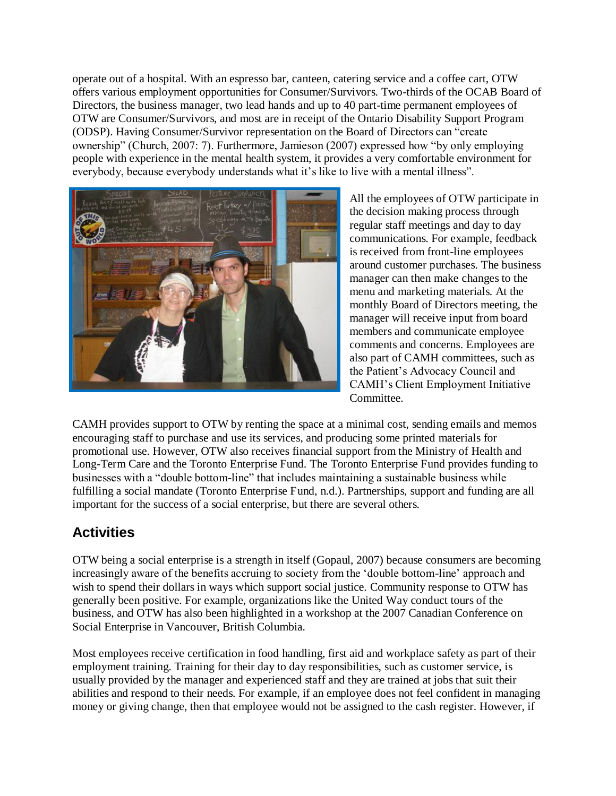operate out of a hospital. With an espresso bar, canteen, catering service and a coffee cart, OTW offers various employment opportunities for Consumer/Survivors. Two-thirds of the OCAB Board of Directors, the business manager, two lead hands and up to 40 part-time permanent employees of OTW are Consumer/Survivors, and most are in receipt of the Ontario Disability Support Program (ODSP). Having Consumer/Survivor representation on the Board of Directors can "create ownership" (Church, 2007: 7). Furthermore, Jamieson (2007) expressed how "by only employing people with experience in the mental health system, it provides a very comfortable environment for everybody, because everybody understands what it's like to live with a mental illness".



All the employees of OTW participate in the decision making process through regular staff meetings and day to day communications. For example, feedback is received from front-line employees around customer purchases. The business manager can then make changes to the menu and marketing materials. At the monthly Board of Directors meeting, the manager will receive input from board members and communicate employee comments and concerns. Employees are also part of CAMH committees, such as the Patient"s Advocacy Council and CAMH"s Client Employment Initiative Committee.

CAMH provides support to OTW by renting the space at a minimal cost, sending emails and memos encouraging staff to purchase and use its services, and producing some printed materials for promotional use. However, OTW also receives financial support from the Ministry of Health and Long-Term Care and the Toronto Enterprise Fund. The Toronto Enterprise Fund provides funding to businesses with a "double bottom-line" that includes maintaining a sustainable business while fulfilling a social mandate (Toronto Enterprise Fund, n.d.). Partnerships, support and funding are all important for the success of a social enterprise, but there are several others.

## **Activities**

OTW being a social enterprise is a strength in itself (Gopaul, 2007) because consumers are becoming increasingly aware of the benefits accruing to society from the "double bottom-line" approach and wish to spend their dollars in ways which support social justice. Community response to OTW has generally been positive. For example, organizations like the United Way conduct tours of the business, and OTW has also been highlighted in a workshop at the 2007 Canadian Conference on Social Enterprise in Vancouver, British Columbia.

Most employees receive certification in food handling, first aid and workplace safety as part of their employment training. Training for their day to day responsibilities, such as customer service, is usually provided by the manager and experienced staff and they are trained at jobs that suit their abilities and respond to their needs. For example, if an employee does not feel confident in managing money or giving change, then that employee would not be assigned to the cash register. However, if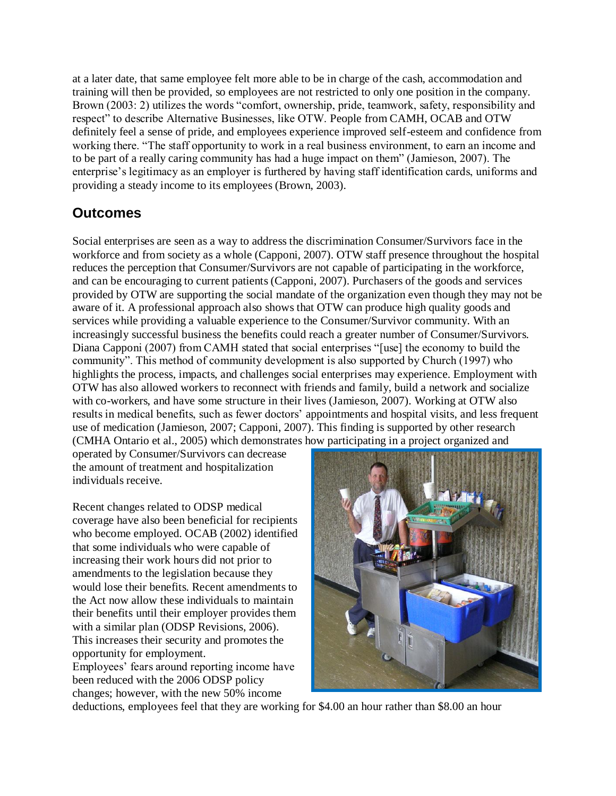at a later date, that same employee felt more able to be in charge of the cash, accommodation and training will then be provided, so employees are not restricted to only one position in the company. Brown (2003: 2) utilizes the words "comfort, ownership, pride, teamwork, safety, responsibility and respect" to describe Alternative Businesses, like OTW. People from CAMH, OCAB and OTW definitely feel a sense of pride, and employees experience improved self-esteem and confidence from working there. "The staff opportunity to work in a real business environment, to earn an income and to be part of a really caring community has had a huge impact on them" (Jamieson, 2007). The enterprise"s legitimacy as an employer is furthered by having staff identification cards, uniforms and providing a steady income to its employees (Brown, 2003).

### **Outcomes**

Social enterprises are seen as a way to address the discrimination Consumer/Survivors face in the workforce and from society as a whole (Capponi, 2007). OTW staff presence throughout the hospital reduces the perception that Consumer/Survivors are not capable of participating in the workforce, and can be encouraging to current patients (Capponi, 2007). Purchasers of the goods and services provided by OTW are supporting the social mandate of the organization even though they may not be aware of it. A professional approach also shows that OTW can produce high quality goods and services while providing a valuable experience to the Consumer/Survivor community. With an increasingly successful business the benefits could reach a greater number of Consumer/Survivors. Diana Capponi (2007) from CAMH stated that social enterprises "[use] the economy to build the community". This method of community development is also supported by Church (1997) who highlights the process, impacts, and challenges social enterprises may experience. Employment with OTW has also allowed workers to reconnect with friends and family, build a network and socialize with co-workers, and have some structure in their lives (Jamieson, 2007). Working at OTW also results in medical benefits, such as fewer doctors' appointments and hospital visits, and less frequent use of medication (Jamieson, 2007; Capponi, 2007). This finding is supported by other research (CMHA Ontario et al., 2005) which demonstrates how participating in a project organized and

operated by Consumer/Survivors can decrease the amount of treatment and hospitalization individuals receive.

Recent changes related to ODSP medical coverage have also been beneficial for recipients who become employed. OCAB (2002) identified that some individuals who were capable of increasing their work hours did not prior to amendments to the legislation because they would lose their benefits. Recent amendments to the Act now allow these individuals to maintain their benefits until their employer provides them with a similar plan (ODSP Revisions, 2006). This increases their security and promotes the opportunity for employment. Employees" fears around reporting income have

been reduced with the 2006 ODSP policy changes; however, with the new 50% income



deductions, employees feel that they are working for \$4.00 an hour rather than \$8.00 an hour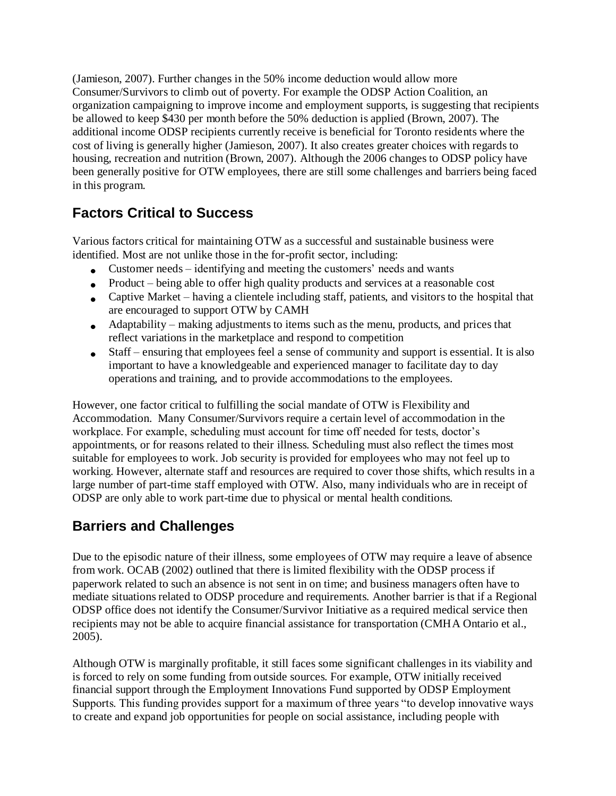(Jamieson, 2007). Further changes in the 50% income deduction would allow more Consumer/Survivors to climb out of poverty. For example the ODSP Action Coalition, an organization campaigning to improve income and employment supports, is suggesting that recipients be allowed to keep \$430 per month before the 50% deduction is applied (Brown, 2007). The additional income ODSP recipients currently receive is beneficial for Toronto residents where the cost of living is generally higher (Jamieson, 2007). It also creates greater choices with regards to housing, recreation and nutrition (Brown, 2007). Although the 2006 changes to ODSP policy have been generally positive for OTW employees, there are still some challenges and barriers being faced in this program.

## **Factors Critical to Success**

Various factors critical for maintaining OTW as a successful and sustainable business were identified. Most are not unlike those in the for-profit sector, including:

- Customer needs identifying and meeting the customers' needs and wants
- Product being able to offer high quality products and services at a reasonable cost
- Captive Market having a clientele including staff, patients, and visitors to the hospital that are encouraged to support OTW by CAMH
- Adaptability making adjustments to items such as the menu, products, and prices that reflect variations in the marketplace and respond to competition
- Staff ensuring that employees feel a sense of community and support is essential. It is also  $\bullet$ important to have a knowledgeable and experienced manager to facilitate day to day operations and training, and to provide accommodations to the employees.

However, one factor critical to fulfilling the social mandate of OTW is Flexibility and Accommodation. Many Consumer/Survivors require a certain level of accommodation in the workplace. For example, scheduling must account for time off needed for tests, doctor's appointments, or for reasons related to their illness. Scheduling must also reflect the times most suitable for employees to work. Job security is provided for employees who may not feel up to working. However, alternate staff and resources are required to cover those shifts, which results in a large number of part-time staff employed with OTW. Also, many individuals who are in receipt of ODSP are only able to work part-time due to physical or mental health conditions.

# **Barriers and Challenges**

Due to the episodic nature of their illness, some employees of OTW may require a leave of absence from work. OCAB (2002) outlined that there is limited flexibility with the ODSP process if paperwork related to such an absence is not sent in on time; and business managers often have to mediate situations related to ODSP procedure and requirements. Another barrier is that if a Regional ODSP office does not identify the Consumer/Survivor Initiative as a required medical service then recipients may not be able to acquire financial assistance for transportation (CMHA Ontario et al., 2005).

Although OTW is marginally profitable, it still faces some significant challenges in its viability and is forced to rely on some funding from outside sources. For example, OTW initially received financial support through the Employment Innovations Fund supported by ODSP Employment Supports. This funding provides support for a maximum of three years "to develop innovative ways to create and expand job opportunities for people on social assistance, including people with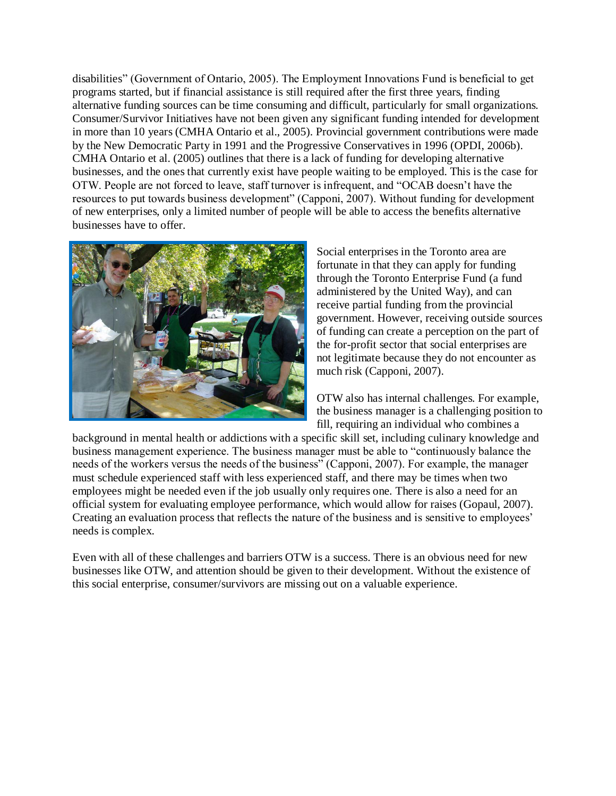disabilities" (Government of Ontario, 2005). The Employment Innovations Fund is beneficial to get programs started, but if financial assistance is still required after the first three years, finding alternative funding sources can be time consuming and difficult, particularly for small organizations. Consumer/Survivor Initiatives have not been given any significant funding intended for development in more than 10 years (CMHA Ontario et al., 2005). Provincial government contributions were made by the New Democratic Party in 1991 and the Progressive Conservatives in 1996 (OPDI, 2006b). CMHA Ontario et al. (2005) outlines that there is a lack of funding for developing alternative businesses, and the ones that currently exist have people waiting to be employed. This is the case for OTW. People are not forced to leave, staff turnover is infrequent, and "OCAB doesn"t have the resources to put towards business development" (Capponi, 2007). Without funding for development of new enterprises, only a limited number of people will be able to access the benefits alternative businesses have to offer.



Social enterprises in the Toronto area are fortunate in that they can apply for funding through the Toronto Enterprise Fund (a fund administered by the United Way), and can receive partial funding from the provincial government. However, receiving outside sources of funding can create a perception on the part of the for-profit sector that social enterprises are not legitimate because they do not encounter as much risk (Capponi, 2007).

OTW also has internal challenges. For example, the business manager is a challenging position to fill, requiring an individual who combines a

background in mental health or addictions with a specific skill set, including culinary knowledge and business management experience. The business manager must be able to "continuously balance the needs of the workers versus the needs of the business" (Capponi, 2007). For example, the manager must schedule experienced staff with less experienced staff, and there may be times when two employees might be needed even if the job usually only requires one. There is also a need for an official system for evaluating employee performance, which would allow for raises (Gopaul, 2007). Creating an evaluation process that reflects the nature of the business and is sensitive to employees" needs is complex.

Even with all of these challenges and barriers OTW is a success. There is an obvious need for new businesses like OTW, and attention should be given to their development. Without the existence of this social enterprise, consumer/survivors are missing out on a valuable experience.